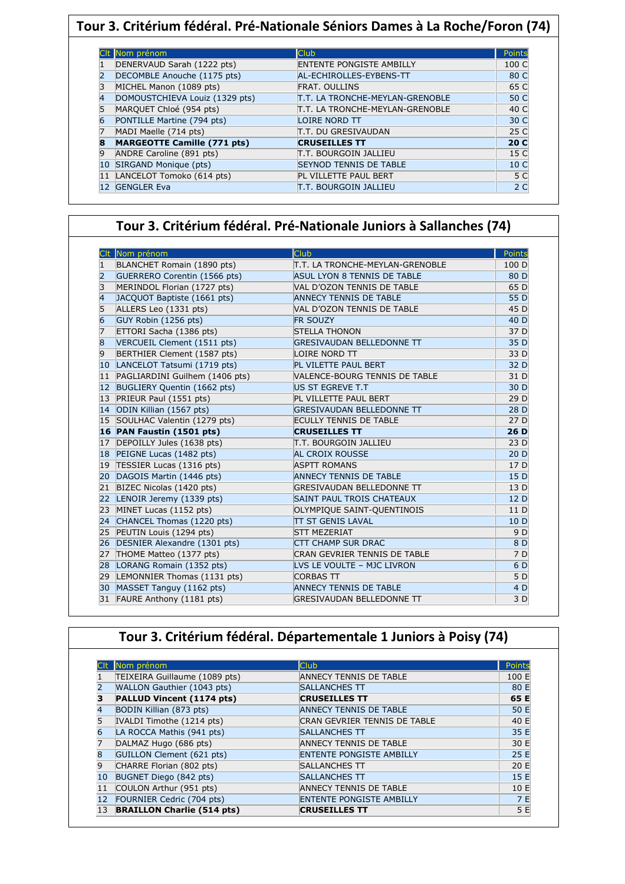| Tour 3. Critérium fédéral. Pré-Nationale Séniors Dames à La Roche/Foron (74) |                                    |                                        |                 |  |  |
|------------------------------------------------------------------------------|------------------------------------|----------------------------------------|-----------------|--|--|
|                                                                              |                                    |                                        |                 |  |  |
|                                                                              | Nom prénom                         | <b>Club</b>                            | Points          |  |  |
|                                                                              | DENERVAUD Sarah (1222 pts)         | <b>ENTENTE PONGISTE AMBILLY</b>        | 100 C           |  |  |
|                                                                              | DECOMBLE Anouche (1175 pts)        | AL-ECHIROLLES-EYBENS-TT                | 80 C            |  |  |
|                                                                              | MICHEL Manon (1089 pts)            | <b>FRAT. OULLINS</b>                   | 65 C            |  |  |
|                                                                              | DOMOUSTCHIEVA Louiz (1329 pts)     | T.T. LA TRONCHE-MEYLAN-GRENOBLE        | 50 C            |  |  |
|                                                                              | MARQUET Chloé (954 pts)            | <b>T.T. LA TRONCHE-MEYLAN-GRENOBLE</b> | 40 C            |  |  |
|                                                                              | PONTILLE Martine (794 pts)         | <b>LOIRE NORD TT</b>                   | 30 C            |  |  |
|                                                                              | MADI Maelle (714 pts)              | <b>T.T. DU GRESIVAUDAN</b>             | 25 C            |  |  |
|                                                                              | <b>MARGEOTTE Camille (771 pts)</b> | <b>CRUSEILLES TT</b>                   | 20 <sub>C</sub> |  |  |
|                                                                              | ANDRE Caroline (891 pts)           | T.T. BOURGOIN JALLIEU                  | 15 C            |  |  |
| 10                                                                           | SIRGAND Monique (pts)              | <b>SEYNOD TENNIS DE TABLE</b>          | 10 <sup>C</sup> |  |  |
|                                                                              | LANCELOT Tomoko (614 pts)          | PL VILLETTE PAUL BERT                  | 5 C             |  |  |
| 12                                                                           | <b>GENGLER Eva</b>                 | IT.T. BOURGOIN JALLIEU                 | 2 <sub>C</sub>  |  |  |

## **Tour 3. Critérium fédéral. Pré-Nationale Juniors à Sallanches (74)**

|                   | Nom prénom                     | <b>Club</b>                      | Points |
|-------------------|--------------------------------|----------------------------------|--------|
|                   | BLANCHET Romain (1890 pts)     | T.T. LA TRONCHE-MEYLAN-GRENOBLE  | 100 D  |
| 2                 | GUERRERO Corentin (1566 pts)   | ASUL LYON 8 TENNIS DE TABLE      | 80 D   |
| 3                 | MERINDOL Florian (1727 pts)    | VAL D'OZON TENNIS DE TABLE       | 65 D   |
| 4                 | JACQUOT Baptiste (1661 pts)    | <b>ANNECY TENNIS DE TABLE</b>    | 55 D   |
| 5                 | ALLERS Leo (1331 pts)          | VAL D'OZON TENNIS DE TABLE       | 45 D   |
|                   | GUY Robin (1256 pts)           | <b>FR SOUZY</b>                  | 40 D   |
|                   | ETTORI Sacha (1386 pts)        | <b>STELLA THONON</b>             | 37 D   |
| 8                 | VERCUEIL Clement (1511 pts)    | <b>GRESIVAUDAN BELLEDONNE TT</b> | 35 D   |
| 9                 | BERTHIER Clement (1587 pts)    | LOIRE NORD TT                    | 33 D   |
| 10                | LANCELOT Tatsumi (1719 pts)    | PL VILETTE PAUL BERT             | 32 D   |
| 11                | PAGLIARDINI Guilhem (1406 pts) | VALENCE-BOURG TENNIS DE TABLE    | 31 D   |
| $12 \overline{ }$ | BUGLIERY Quentin (1662 pts)    | US ST EGREVE T.T                 | 30 D   |
| 13                | PRIEUR Paul (1551 pts)         | PL VILLETTE PAUL BERT            | 29 D   |
| 14                | ODIN Killian (1567 pts)        | <b>GRESIVAUDAN BELLEDONNE TT</b> | 28 D   |
| 15                | SOULHAC Valentin (1279 pts)    | <b>ECULLY TENNIS DE TABLE</b>    | 27 D   |
|                   | 16 PAN Faustin (1501 pts)      | <b>CRUSEILLES TT</b>             | 26D    |
| 17                | DEPOILLY Jules (1638 pts)      | IT.T. BOURGOIN JALLIEU           | 23 D   |
| 18                | PEIGNE Lucas (1482 pts)        | <b>AL CROIX ROUSSE</b>           | 20 D   |
| 19                | TESSIER Lucas (1316 pts)       | <b>ASPTT ROMANS</b>              | 17 D   |
| 20                | DAGOIS Martin (1446 pts)       | <b>ANNECY TENNIS DE TABLE</b>    | 15 D   |
| 21                | BIZEC Nicolas (1420 pts)       | <b>GRESIVAUDAN BELLEDONNE TT</b> | 13 D   |
| 22                | LENOIR Jeremy (1339 pts)       | <b>SAINT PAUL TROIS CHATEAUX</b> | 12D    |
| 23                | MINET Lucas (1152 pts)         | OLYMPIQUE SAINT-QUENTINOIS       | 11 D   |
| 24                | CHANCEL Thomas (1220 pts)      | <b>TT ST GENIS LAVAL</b>         | 10 D   |
| 25                | PEUTIN Louis (1294 pts)        | <b>STT MEZERIAT</b>              | 9 D    |
| 26                | DESNIER Alexandre (1301 pts)   | <b>CTT CHAMP SUR DRAC</b>        | 8 D    |
| 27                | THOME Matteo (1377 pts)        | CRAN GEVRIER TENNIS DE TABLE     | 7 D    |
| 28                | LORANG Romain (1352 pts)       | LVS LE VOULTE - MJC LIVRON       | 6 D    |
| 29                | LEMONNIER Thomas (1131 pts)    | <b>CORBAS TT</b>                 | 5 D    |
| 30                | MASSET Tanguy (1162 pts)       | <b>ANNECY TENNIS DE TABLE</b>    | 4 D    |
|                   | FAURE Anthony (1181 pts)<br>31 | <b>GRESIVAUDAN BELLEDONNE TT</b> | 3 D    |

## **Tour 3. Critérium fédéral. Départementale 1 Juniors à Poisy (74)**

|    | Nom prénom                        | <b>Club</b>                     | Points |
|----|-----------------------------------|---------------------------------|--------|
|    | TEIXEIRA Guillaume (1089 pts)     | ANNECY TENNIS DE TABLE          | 100 E  |
|    | WALLON Gauthier (1043 pts)        | <b>SALLANCHES TT</b>            | 80 E   |
|    | PALLUD Vincent (1174 pts)         | <b>CRUSEILLES TT</b>            | 65 E   |
|    | BODIN Killian (873 pts)           | <b>ANNECY TENNIS DE TABLE</b>   | 50 E   |
|    | IVALDI Timothe (1214 pts)         | CRAN GEVRIER TENNIS DE TABLE    | 40 E   |
| 6  | LA ROCCA Mathis (941 pts)         | <b>SALLANCHES TT</b>            | 35 E   |
|    | DALMAZ Hugo (686 pts)             | <b>ANNECY TENNIS DE TABLE</b>   | 30 E   |
| 8  | GUILLON Clement (621 pts)         | <b>ENTENTE PONGISTE AMBILLY</b> | 25 E   |
| q  | CHARRE Florian (802 pts)          | <b>SALLANCHES TT</b>            | 20E    |
| 10 | BUGNET Diego (842 pts)            | <b>SALLANCHES TT</b>            | 15 E   |
| 11 | COULON Arthur (951 pts)           | <b>ANNECY TENNIS DE TABLE</b>   | 10 E   |
| 12 | FOURNIER Cedric (704 pts)         | <b>ENTENTE PONGISTE AMBILLY</b> | 7 E    |
| 13 | <b>BRAILLON Charlie (514 pts)</b> | <b>CRUSEILLES TT</b>            | 5 E    |

Ι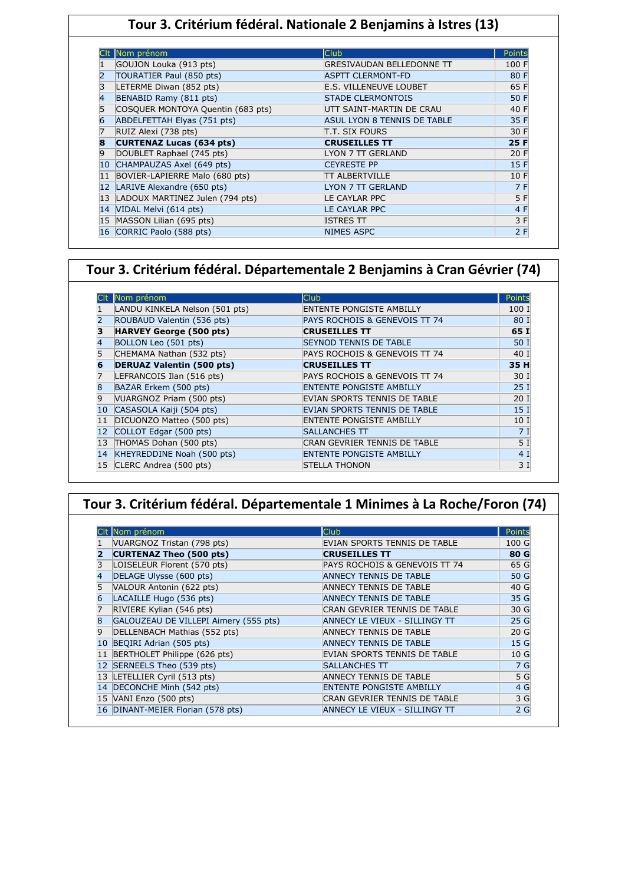### **Tour 3. Critérium fédéral. Nationale 2 Benjamins à Istres (13)**

|    | Nom prénom                        | <b>Club</b>                      | Points |
|----|-----------------------------------|----------------------------------|--------|
|    | GOUJON Louka (913 pts)            | <b>GRESIVAUDAN BELLEDONNE TT</b> | 100 F  |
|    | TOURATIER Paul (850 pts)          | <b>ASPTT CLERMONT-FD</b>         | 80 F   |
|    | LETERME Diwan (852 pts)           | E.S. VILLENEUVE LOUBET           | 65 F   |
|    | BENABID Ramy (811 pts)            | <b>STADE CLERMONTOIS</b>         | 50 F   |
|    | COSQUER MONTOYA Quentin (683 pts) | UTT SAINT-MARTIN DE CRAU         | 40 F   |
| 6  | ABDELFETTAH Elyas (751 pts)       | ASUL LYON 8 TENNIS DE TABLE      | 35 F   |
|    | RUIZ Alexi (738 pts)              | T.T. SIX FOURS                   | 30 F   |
| 8  | <b>CURTENAZ Lucas (634 pts)</b>   | <b>CRUSEILLES TT</b>             | 25 F   |
| 9  | DOUBLET Raphael (745 pts)         | LYON 7 TT GERLAND                | 20 F   |
| 10 | CHAMPAUZAS Axel (649 pts)         | <b>CEYRESTE PP</b>               | 15F    |
| 11 | BOVIER-LAPIERRE Malo (680 pts)    | TT ALBERTVILLE                   | 10 F   |
| 12 | LARIVE Alexandre (650 pts)        | <b>LYON 7 TT GERLAND</b>         | 7 F    |
| 13 | LADOUX MARTINEZ Julen (794 pts)   | LE CAYLAR PPC                    | 5 F    |
| 14 | VIDAL Melvi (614 pts)             | <b>LE CAYLAR PPC</b>             | 4 F    |
| 15 | MASSON Lilian (695 pts)           | <b>ISTRES TT</b>                 | 3 F    |
| 16 | CORRIC Paolo (588 pts)            | <b>NIMES ASPC</b>                | 2F     |

### **Tour 3. Critérium fédéral. Départementale 2 Benjamins à Cran Gévrier (74)**

|    | Nom prénom                       | <b>Club</b>                         | Points          |
|----|----------------------------------|-------------------------------------|-----------------|
|    | LANDU KINKELA Nelson (501 pts)   | <b>ENTENTE PONGISTE AMBILLY</b>     | 100 1           |
|    | ROUBAUD Valentin (536 pts)       | PAYS ROCHOIS & GENEVOIS TT 74       | 80 I            |
| з  | <b>HARVEY George (500 pts)</b>   | <b>CRUSEILLES TT</b>                | 65 I            |
| 4  | BOLLON Leo (501 pts)             | <b>SEYNOD TENNIS DE TABLE</b>       | 50 I            |
|    | CHEMAMA Nathan (532 pts)         | PAYS ROCHOIS & GENEVOIS TT 74       | 40 I            |
| 6  | <b>DERUAZ Valentin (500 pts)</b> | <b>CRUSEILLES TT</b>                | 35 H            |
|    | LEFRANCOIS Ilan (516 pts)        | PAYS ROCHOIS & GENEVOIS TT 74       | 30 I            |
| 8  | BAZAR Erkem (500 pts)            | <b>ENTENTE PONGISTE AMBILLY</b>     | 25I             |
| 9  | VUARGNOZ Priam (500 pts)         | EVIAN SPORTS TENNIS DE TABLE        | 20 <sub>1</sub> |
| 10 | CASASOLA Kaiji (504 pts)         | EVIAN SPORTS TENNIS DE TABLE        | 15 <sub>1</sub> |
| 11 | DICUONZO Matteo (500 pts)        | <b>ENTENTE PONGISTE AMBILLY</b>     | 10 <sub>1</sub> |
| 12 | COLLOT Edgar (500 pts)           | <b>SALLANCHES TT</b>                | 7 I             |
| 13 | THOMAS Dohan (500 pts)           | <b>CRAN GEVRIER TENNIS DE TABLE</b> | 5 <sub>1</sub>  |
| 14 | KHEYREDDINE Noah (500 pts)       | <b>ENTENTE PONGISTE AMBILLY</b>     | 4 <sup>1</sup>  |
|    | 15 CLERC Andrea (500 pts)        | <b>ISTELLA THONON</b>               | 3 1             |

### **Tour 3. Critérium fédéral. Départementale 1 Minimes à La Roche/Foron (74)**

|                | Nom prénom                            | Club                            | Points          |
|----------------|---------------------------------------|---------------------------------|-----------------|
|                | VUARGNOZ Tristan (798 pts)            | EVIAN SPORTS TENNIS DE TABLE    | 100 G           |
| 2              | <b>CURTENAZ Theo (500 pts)</b>        | <b>CRUSEILLES TT</b>            | 80 G            |
|                | LOISELEUR Florent (570 pts)           | PAYS ROCHOIS & GENEVOIS TT 74   | 65 G            |
| 4              | DELAGE Ulysse (600 pts)               | <b>ANNECY TENNIS DE TABLE</b>   | 50 G            |
|                | VALOUR Antonin (622 pts)              | <b>ANNECY TENNIS DE TABLE</b>   | 40 G            |
| 6              | LACAILLE Hugo (536 pts)               | <b>ANNECY TENNIS DE TABLE</b>   | 35 G            |
|                | RIVIERE Kylian (546 pts)              | CRAN GEVRIER TENNIS DE TABLE    | 30 G            |
| 8              | GALOUZEAU DE VILLEPI Aimery (555 pts) | ANNECY LE VIEUX - SILLINGY TT   | 25 <sub>g</sub> |
| $\overline{9}$ | DELLENBACH Mathias (552 pts)          | <b>ANNECY TENNIS DE TABLE</b>   | 20 <sub>G</sub> |
| 10             | BEQIRI Adrian (505 pts)               | <b>ANNECY TENNIS DE TABLE</b>   | 15 <sub>G</sub> |
| 11             | BERTHOLET Philippe (626 pts)          | EVIAN SPORTS TENNIS DE TABLE    | 10G             |
| 12             | SERNEELS Theo (539 pts)               | <b>SALLANCHES TT</b>            | 7 G             |
|                | 13 LETELLIER Cyril (513 pts)          | <b>ANNECY TENNIS DE TABLE</b>   | 5 G             |
|                | 14 DECONCHE Minh (542 pts)            | <b>ENTENTE PONGISTE AMBILLY</b> | 4 G             |
|                | $15$ VANI Enzo (500 pts)              | CRAN GEVRIER TENNIS DE TABLE    | 3 G             |
|                | 16 DINANT-MEIER Florian (578 pts)     | ANNECY LE VIEUX - SILLINGY TT   | 2 <sub>G</sub>  |